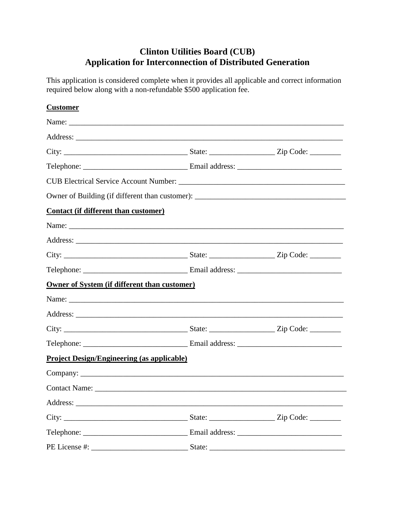# **Clinton Utilities Board (CUB) Application for Interconnection of Distributed Generation**

This application is considered complete when it provides all applicable and correct information required below along with a non-refundable \$500 application fee.

| <b>Customer</b>                                     |                                                                                   |  |  |  |
|-----------------------------------------------------|-----------------------------------------------------------------------------------|--|--|--|
|                                                     |                                                                                   |  |  |  |
|                                                     |                                                                                   |  |  |  |
|                                                     |                                                                                   |  |  |  |
|                                                     |                                                                                   |  |  |  |
|                                                     |                                                                                   |  |  |  |
|                                                     | Owner of Building (if different than customer): _________________________________ |  |  |  |
| <b>Contact (if different than customer)</b>         |                                                                                   |  |  |  |
|                                                     |                                                                                   |  |  |  |
|                                                     |                                                                                   |  |  |  |
|                                                     |                                                                                   |  |  |  |
|                                                     |                                                                                   |  |  |  |
| <b>Owner of System (if different than customer)</b> |                                                                                   |  |  |  |
|                                                     |                                                                                   |  |  |  |
|                                                     |                                                                                   |  |  |  |
|                                                     |                                                                                   |  |  |  |
|                                                     |                                                                                   |  |  |  |
| <b>Project Design/Engineering (as applicable)</b>   |                                                                                   |  |  |  |
|                                                     |                                                                                   |  |  |  |
| <b>Contact Name:</b>                                |                                                                                   |  |  |  |
|                                                     |                                                                                   |  |  |  |
|                                                     |                                                                                   |  |  |  |
|                                                     |                                                                                   |  |  |  |
|                                                     |                                                                                   |  |  |  |